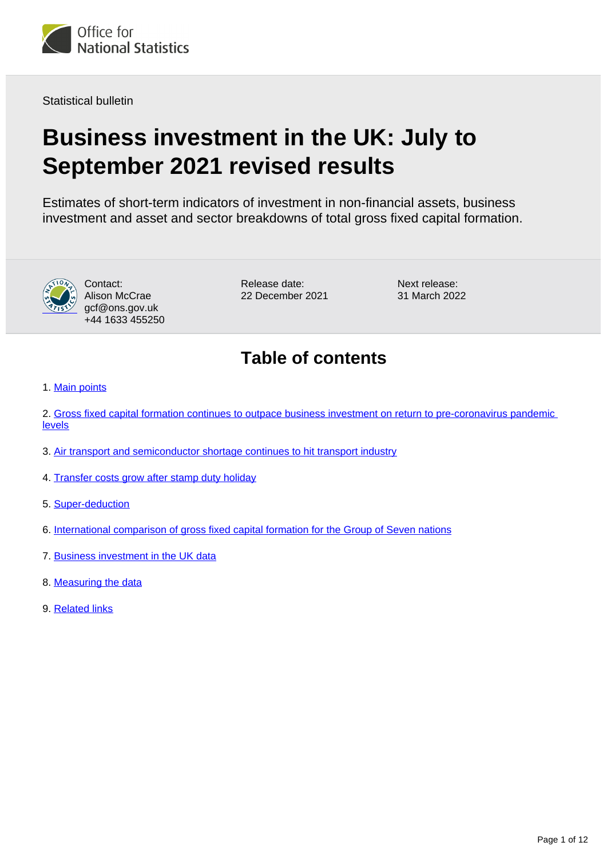

Statistical bulletin

# **Business investment in the UK: July to September 2021 revised results**

Estimates of short-term indicators of investment in non-financial assets, business investment and asset and sector breakdowns of total gross fixed capital formation.



Contact: Alison McCrae gcf@ons.gov.uk +44 1633 455250

Release date: 22 December 2021 Next release: 31 March 2022

# **Table of contents**

1. [Main points](#page-1-0)

2. [Gross fixed capital formation continues to outpace business investment on return to pre-coronavirus pandemic](#page-2-0)  [levels](#page-2-0)

- 3. [Air transport and semiconductor shortage continues to hit transport industry](#page-4-0)
- 4. [Transfer costs grow after stamp duty holiday](#page-5-0)
- 5. [Super-deduction](#page-6-0)
- 6. [International comparison of gross fixed capital formation for the Group of Seven nations](#page-8-0)
- 7. [Business investment in the UK data](#page-9-0)
- 8. [Measuring the data](#page-9-1)
- 9. [Related links](#page-11-0)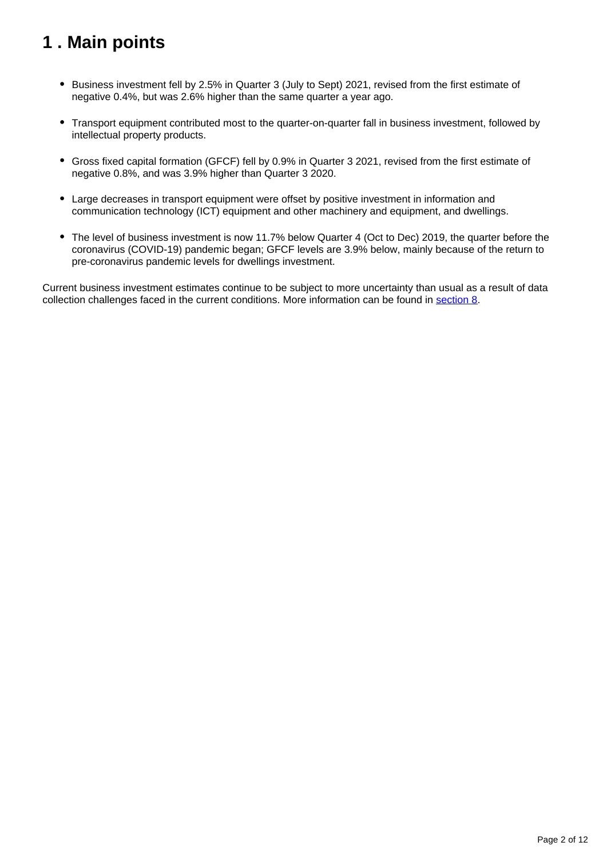# <span id="page-1-0"></span>**1 . Main points**

- **Business investment fell by 2.5% in Quarter 3 (July to Sept) 2021, revised from the first estimate of** negative 0.4%, but was 2.6% higher than the same quarter a year ago.
- Transport equipment contributed most to the quarter-on-quarter fall in business investment, followed by intellectual property products.
- Gross fixed capital formation (GFCF) fell by 0.9% in Quarter 3 2021, revised from the first estimate of negative 0.8%, and was 3.9% higher than Quarter 3 2020.
- Large decreases in transport equipment were offset by positive investment in information and communication technology (ICT) equipment and other machinery and equipment, and dwellings.
- The level of business investment is now 11.7% below Quarter 4 (Oct to Dec) 2019, the quarter before the coronavirus (COVID-19) pandemic began; GFCF levels are 3.9% below, mainly because of the return to pre-coronavirus pandemic levels for dwellings investment.

Current business investment estimates continue to be subject to more uncertainty than usual as a result of data collection challenges faced in the current conditions. More information can be found in [section 8](/economy/grossdomesticproductgdp/bulletins/businessinvestment/julytoseptember2021revisedresults#measuring-the-data).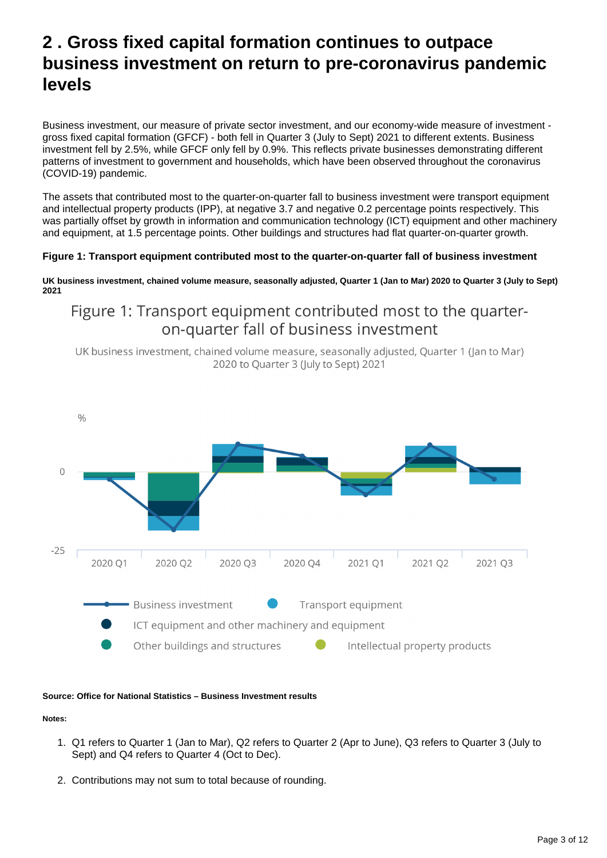# <span id="page-2-0"></span>**2 . Gross fixed capital formation continues to outpace business investment on return to pre-coronavirus pandemic levels**

Business investment, our measure of private sector investment, and our economy-wide measure of investment gross fixed capital formation (GFCF) - both fell in Quarter 3 (July to Sept) 2021 to different extents. Business investment fell by 2.5%, while GFCF only fell by 0.9%. This reflects private businesses demonstrating different patterns of investment to government and households, which have been observed throughout the coronavirus (COVID-19) pandemic.

The assets that contributed most to the quarter-on-quarter fall to business investment were transport equipment and intellectual property products (IPP), at negative 3.7 and negative 0.2 percentage points respectively. This was partially offset by growth in information and communication technology (ICT) equipment and other machinery and equipment, at 1.5 percentage points. Other buildings and structures had flat quarter-on-quarter growth.

#### **Figure 1: Transport equipment contributed most to the quarter-on-quarter fall of business investment**

**UK business investment, chained volume measure, seasonally adjusted, Quarter 1 (Jan to Mar) 2020 to Quarter 3 (July to Sept) 2021**

## Figure 1: Transport equipment contributed most to the quarteron-quarter fall of business investment

UK business investment, chained volume measure, seasonally adjusted, Quarter 1 (Jan to Mar) 2020 to Quarter 3 (July to Sept) 2021



#### **Source: Office for National Statistics – Business Investment results**

**Notes:**

- 1. Q1 refers to Quarter 1 (Jan to Mar), Q2 refers to Quarter 2 (Apr to June), Q3 refers to Quarter 3 (July to Sept) and Q4 refers to Quarter 4 (Oct to Dec).
- 2. Contributions may not sum to total because of rounding.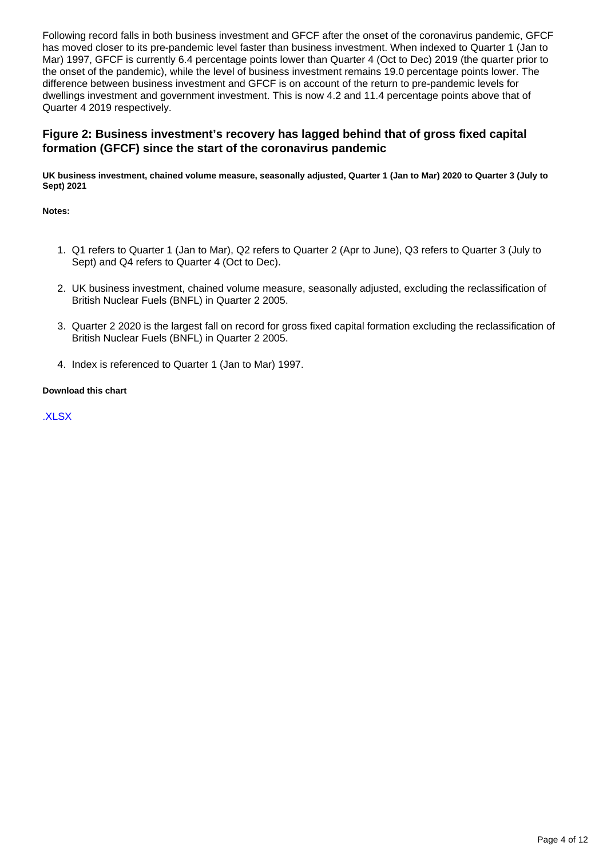Following record falls in both business investment and GFCF after the onset of the coronavirus pandemic, GFCF has moved closer to its pre-pandemic level faster than business investment. When indexed to Quarter 1 (Jan to Mar) 1997, GFCF is currently 6.4 percentage points lower than Quarter 4 (Oct to Dec) 2019 (the quarter prior to the onset of the pandemic), while the level of business investment remains 19.0 percentage points lower. The difference between business investment and GFCF is on account of the return to pre-pandemic levels for dwellings investment and government investment. This is now 4.2 and 11.4 percentage points above that of Quarter 4 2019 respectively.

#### **Figure 2: Business investment's recovery has lagged behind that of gross fixed capital formation (GFCF) since the start of the coronavirus pandemic**

**UK business investment, chained volume measure, seasonally adjusted, Quarter 1 (Jan to Mar) 2020 to Quarter 3 (July to Sept) 2021**

**Notes:**

- 1. Q1 refers to Quarter 1 (Jan to Mar), Q2 refers to Quarter 2 (Apr to June), Q3 refers to Quarter 3 (July to Sept) and Q4 refers to Quarter 4 (Oct to Dec).
- 2. UK business investment, chained volume measure, seasonally adjusted, excluding the reclassification of British Nuclear Fuels (BNFL) in Quarter 2 2005.
- 3. Quarter 2 2020 is the largest fall on record for gross fixed capital formation excluding the reclassification of British Nuclear Fuels (BNFL) in Quarter 2 2005.
- 4. Index is referenced to Quarter 1 (Jan to Mar) 1997.

#### **Download this chart**

[.XLSX](https://www.ons.gov.uk/visualisations/dvc1732/line/datadownload.xlsx)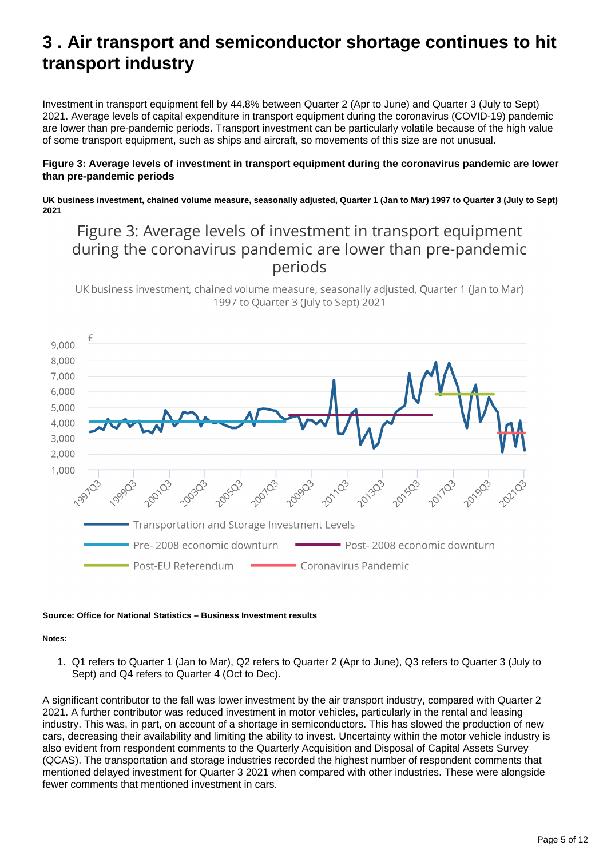# <span id="page-4-0"></span>**3 . Air transport and semiconductor shortage continues to hit transport industry**

Investment in transport equipment fell by 44.8% between Quarter 2 (Apr to June) and Quarter 3 (July to Sept) 2021. Average levels of capital expenditure in transport equipment during the coronavirus (COVID-19) pandemic are lower than pre-pandemic periods. Transport investment can be particularly volatile because of the high value of some transport equipment, such as ships and aircraft, so movements of this size are not unusual.

#### **Figure 3: Average levels of investment in transport equipment during the coronavirus pandemic are lower than pre-pandemic periods**

**UK business investment, chained volume measure, seasonally adjusted, Quarter 1 (Jan to Mar) 1997 to Quarter 3 (July to Sept) 2021**

## Figure 3: Average levels of investment in transport equipment during the coronavirus pandemic are lower than pre-pandemic periods

UK business investment, chained volume measure, seasonally adjusted, Quarter 1 (Jan to Mar) 1997 to Quarter 3 (July to Sept) 2021



#### **Source: Office for National Statistics – Business Investment results**

**Notes:**

1. Q1 refers to Quarter 1 (Jan to Mar), Q2 refers to Quarter 2 (Apr to June), Q3 refers to Quarter 3 (July to Sept) and Q4 refers to Quarter 4 (Oct to Dec).

A significant contributor to the fall was lower investment by the air transport industry, compared with Quarter 2 2021. A further contributor was reduced investment in motor vehicles, particularly in the rental and leasing industry. This was, in part, on account of a shortage in semiconductors. This has slowed the production of new cars, decreasing their availability and limiting the ability to invest. Uncertainty within the motor vehicle industry is also evident from respondent comments to the Quarterly Acquisition and Disposal of Capital Assets Survey (QCAS). The transportation and storage industries recorded the highest number of respondent comments that mentioned delayed investment for Quarter 3 2021 when compared with other industries. These were alongside fewer comments that mentioned investment in cars.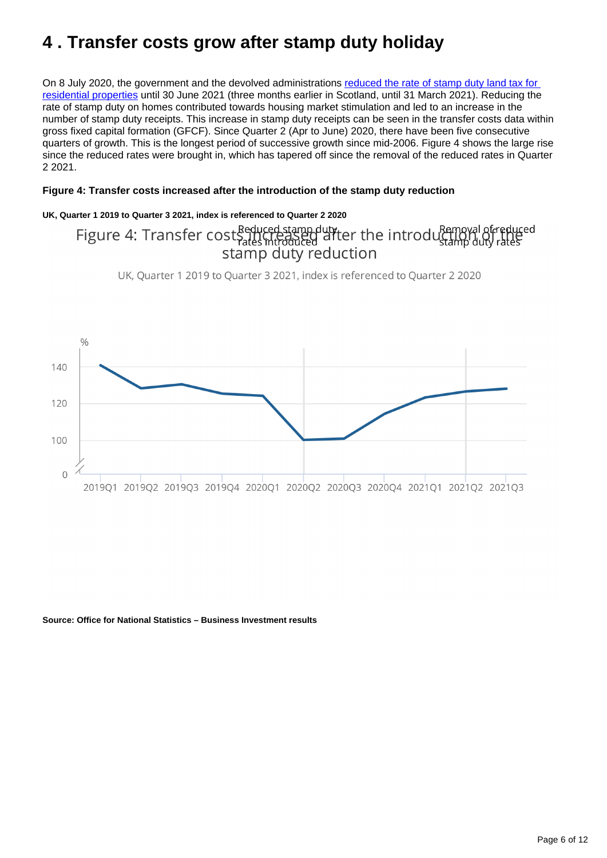# <span id="page-5-0"></span>**4 . Transfer costs grow after stamp duty holiday**

On 8 July 2020, the government and the devolved administrations reduced the rate of stamp duty land tax for [residential properties](https://www.gov.uk/guidance/stamp-duty-land-tax-temporary-reduced-rates#residential-rates-on-purchases-from-8-july-2020-to-30-june-2021) until 30 June 2021 (three months earlier in Scotland, until 31 March 2021). Reducing the rate of stamp duty on homes contributed towards housing market stimulation and led to an increase in the number of stamp duty receipts. This increase in stamp duty receipts can be seen in the transfer costs data within gross fixed capital formation (GFCF). Since Quarter 2 (Apr to June) 2020, there have been five consecutive quarters of growth. This is the longest period of successive growth since mid-2006. Figure 4 shows the large rise since the reduced rates were brought in, which has tapered off since the removal of the reduced rates in Quarter 2 2021.

#### **Figure 4: Transfer costs increased after the introduction of the stamp duty reduction**

#### **UK, Quarter 1 2019 to Quarter 3 2021, index is referenced to Quarter 2 2020**

# Figure 4: Transfer cost Seduced stamp dutiter the introduction<br>stamp duty rates introduction stamp duty rates

UK, Quarter 1 2019 to Quarter 3 2021, index is referenced to Quarter 2 2020



**Source: Office for National Statistics – Business Investment results**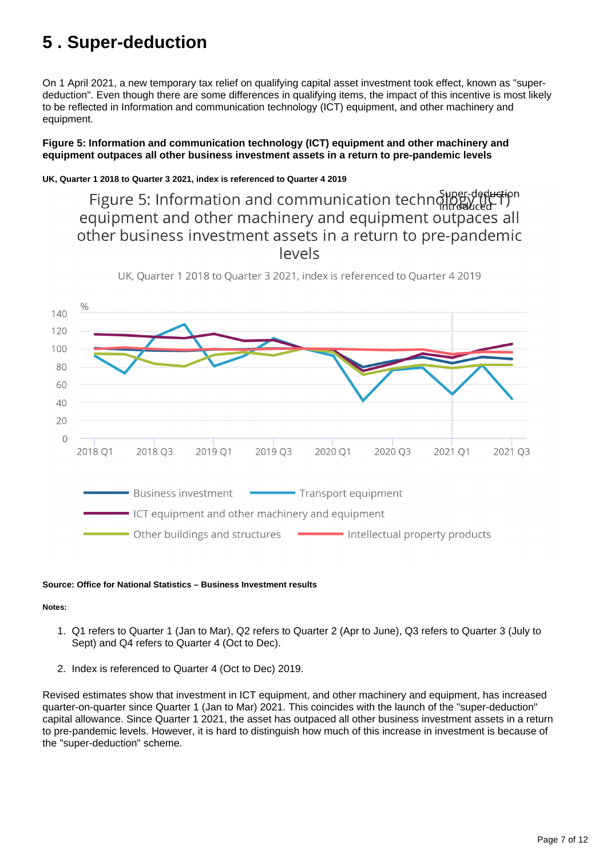# <span id="page-6-0"></span>**5 . Super-deduction**

On 1 April 2021, a new temporary tax relief on qualifying capital asset investment took effect, known as "superdeduction". Even though there are some differences in qualifying items, the impact of this incentive is most likely to be reflected in Information and communication technology (ICT) equipment, and other machinery and equipment.

#### **Figure 5: Information and communication technology (ICT) equipment and other machinery and equipment outpaces all other business investment assets in a return to pre-pandemic levels**

#### **UK, Quarter 1 2018 to Quarter 3 2021, index is referenced to Quarter 4 2019**

Figure 5: Information and communication technology deduction equipment and other machinery and equipment outpaces all other business investment assets in a return to pre-pandemic levels



UK, Quarter 1 2018 to Quarter 3 2021, index is referenced to Quarter 4 2019

#### **Source: Office for National Statistics – Business Investment results**

#### **Notes:**

- 1. Q1 refers to Quarter 1 (Jan to Mar), Q2 refers to Quarter 2 (Apr to June), Q3 refers to Quarter 3 (July to Sept) and Q4 refers to Quarter 4 (Oct to Dec).
- 2. Index is referenced to Quarter 4 (Oct to Dec) 2019.

Revised estimates show that investment in ICT equipment, and other machinery and equipment, has increased quarter-on-quarter since Quarter 1 (Jan to Mar) 2021. This coincides with the launch of the "super-deduction" capital allowance. Since Quarter 1 2021, the asset has outpaced all other business investment assets in a return to pre-pandemic levels. However, it is hard to distinguish how much of this increase in investment is because of the "super-deduction" scheme.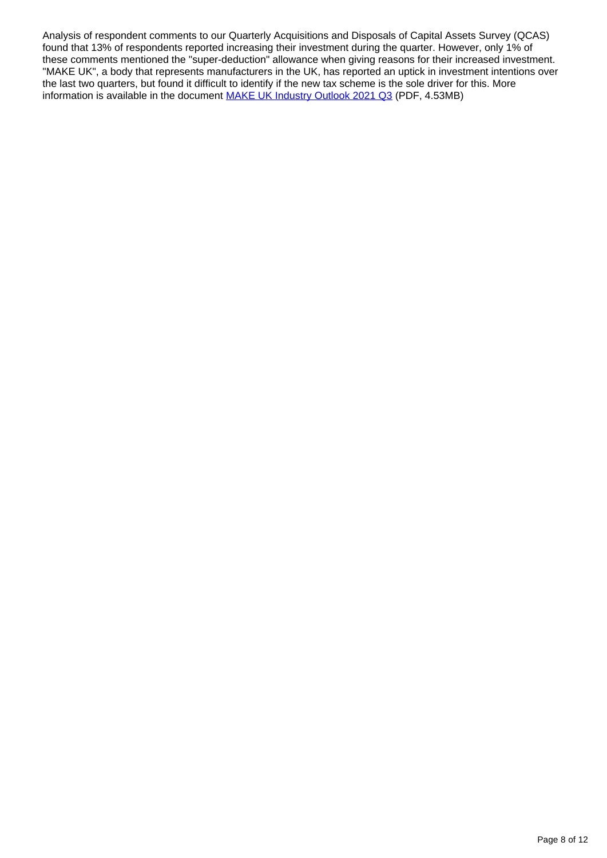Analysis of respondent comments to our Quarterly Acquisitions and Disposals of Capital Assets Survey (QCAS) found that 13% of respondents reported increasing their investment during the quarter. However, only 1% of these comments mentioned the "super-deduction" allowance when giving reasons for their increased investment. "MAKE UK", a body that represents manufacturers in the UK, has reported an uptick in investment intentions over the last two quarters, but found it difficult to identify if the new tax scheme is the sole driver for this. More information is available in the document [MAKE UK Industry Outlook 2021 Q3](https://www.makeuk.org/-/media/eef/files/reports/industry-reports/make-uk-bdo-manufacturing-outlook-2021-q3.pdf) (PDF, 4.53MB)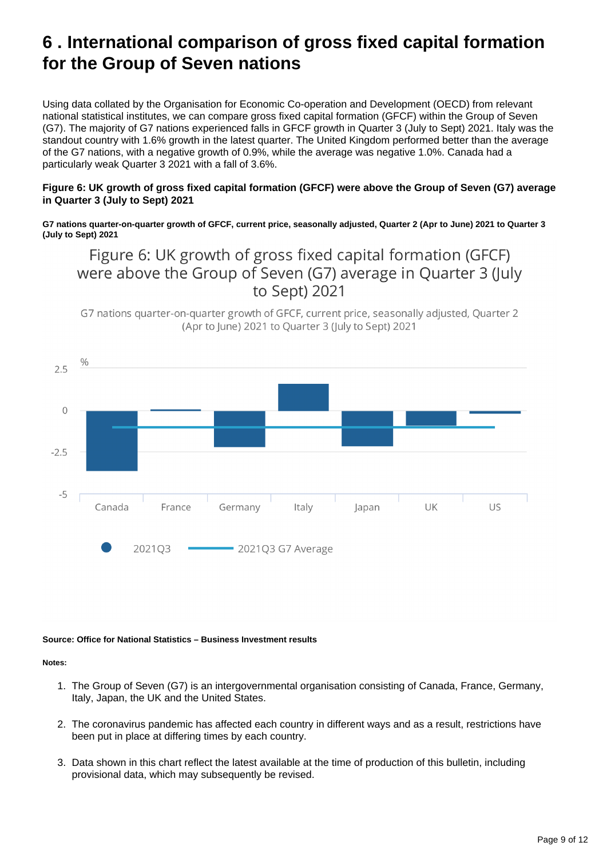# <span id="page-8-0"></span>**6 . International comparison of gross fixed capital formation for the Group of Seven nations**

Using data collated by the Organisation for Economic Co-operation and Development (OECD) from relevant national statistical institutes, we can compare gross fixed capital formation (GFCF) within the Group of Seven (G7). The majority of G7 nations experienced falls in GFCF growth in Quarter 3 (July to Sept) 2021. Italy was the standout country with 1.6% growth in the latest quarter. The United Kingdom performed better than the average of the G7 nations, with a negative growth of 0.9%, while the average was negative 1.0%. Canada had a particularly weak Quarter 3 2021 with a fall of 3.6%.

#### **Figure 6: UK growth of gross fixed capital formation (GFCF) were above the Group of Seven (G7) average in Quarter 3 (July to Sept) 2021**

**G7 nations quarter-on-quarter growth of GFCF, current price, seasonally adjusted, Quarter 2 (Apr to June) 2021 to Quarter 3 (July to Sept) 2021**

## Figure 6: UK growth of gross fixed capital formation (GFCF) were above the Group of Seven (G7) average in Quarter 3 (July to Sept) 2021

G7 nations quarter-on-quarter growth of GFCF, current price, seasonally adjusted, Quarter 2 (Apr to lune) 2021 to Ouarter 3 (luly to Sept) 2021



#### **Source: Office for National Statistics – Business Investment results**

**Notes:**

- 1. The Group of Seven (G7) is an intergovernmental organisation consisting of Canada, France, Germany, Italy, Japan, the UK and the United States.
- 2. The coronavirus pandemic has affected each country in different ways and as a result, restrictions have been put in place at differing times by each country.
- 3. Data shown in this chart reflect the latest available at the time of production of this bulletin, including provisional data, which may subsequently be revised.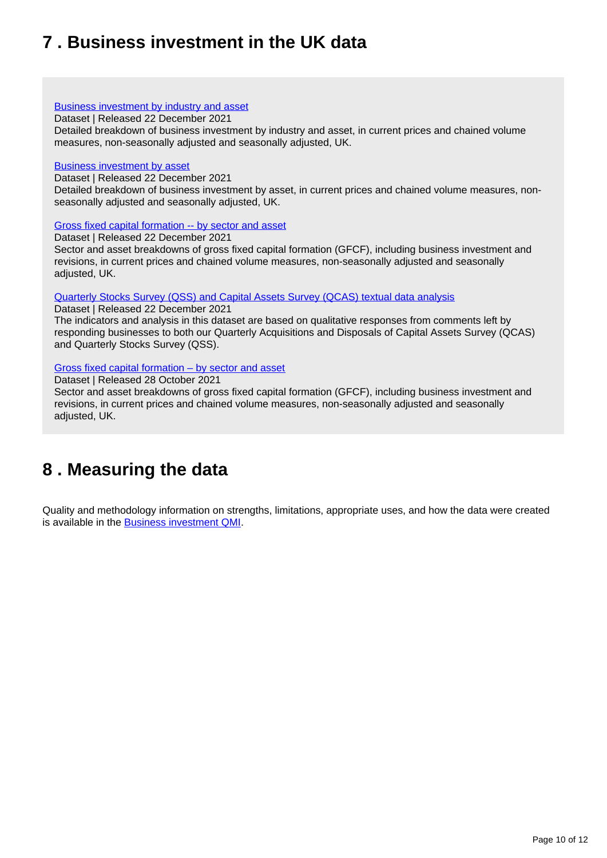# <span id="page-9-0"></span>**7 . Business investment in the UK data**

#### [Business investment by industry and asset](https://www.ons.gov.uk/economy/grossdomesticproductgdp/datasets/businessinvestmentbyindustryandasset)

Dataset | Released 22 December 2021

Detailed breakdown of business investment by industry and asset, in current prices and chained volume measures, non-seasonally adjusted and seasonally adjusted, UK.

#### [Business investment by asset](https://www.ons.gov.uk/economy/grossdomesticproductgdp/datasets/businessinvestmentbyasset)

Dataset | Released 22 December 2021

Detailed breakdown of business investment by asset, in current prices and chained volume measures, nonseasonally adjusted and seasonally adjusted, UK.

#### [Gross fixed capital formation -- by sector and asset](https://www.ons.gov.uk/economy/grossdomesticproductgdp/datasets/grossfixedcapitalformationbysectorandasset)

Dataset | Released 22 December 2021

Sector and asset breakdowns of gross fixed capital formation (GFCF), including business investment and revisions, in current prices and chained volume measures, non-seasonally adjusted and seasonally adjusted, UK.

#### [Quarterly Stocks Survey \(QSS\) and Capital Assets Survey \(QCAS\) textual data analysis](https://www.ons.gov.uk/economy/grossdomesticproductgdp/datasets/quarterlystockssurveyqssandcapitalassetssurveyqcastextualdataanalysis)

Dataset | Released 22 December 2021

The indicators and analysis in this dataset are based on qualitative responses from comments left by responding businesses to both our Quarterly Acquisitions and Disposals of Capital Assets Survey (QCAS) and Quarterly Stocks Survey (QSS).

#### [Gross fixed capital formation – by sector and asset](https://www.ons.gov.uk/economy/grossdomesticproductgdp/datasets/grossfixedcapitalformationbysectorandasset)

Dataset | Released 28 October 2021

Sector and asset breakdowns of gross fixed capital formation (GFCF), including business investment and revisions, in current prices and chained volume measures, non-seasonally adjusted and seasonally adjusted, UK.

## <span id="page-9-1"></span>**8 . Measuring the data**

Quality and methodology information on strengths, limitations, appropriate uses, and how the data were created is available in the **[Business investment QMI](https://www.ons.gov.uk/economy/investmentspensionsandtrusts/methodologies/businessinvestmentqmi)**.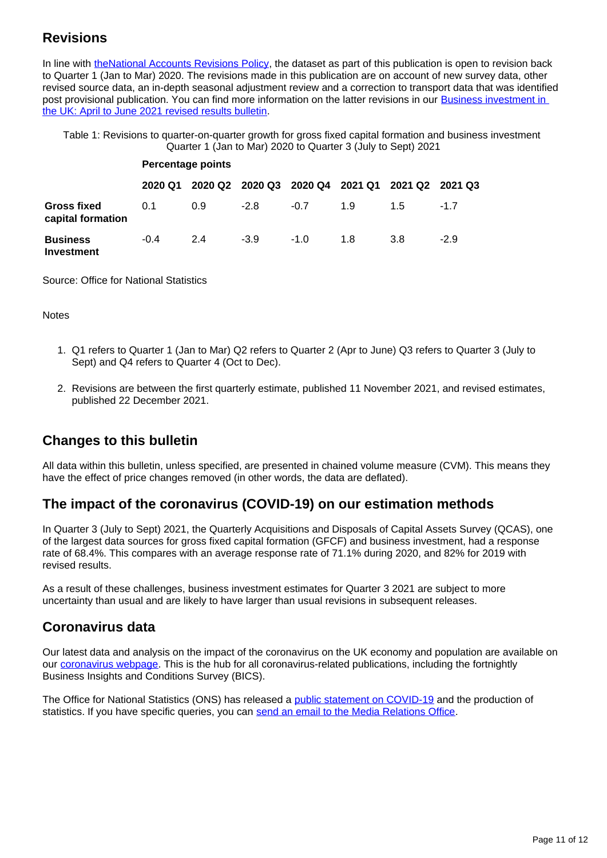## **Revisions**

In line with [theNational Accounts Revisions Policy](https://www.ons.gov.uk/methodology/methodologytopicsandstatisticalconcepts/revisions/revisionspoliciesforeconomicstatistics/nationalaccountsrevisionspolicyupdateddecember2017), the dataset as part of this publication is open to revision back to Quarter 1 (Jan to Mar) 2020. The revisions made in this publication are on account of new survey data, other revised source data, an in-depth seasonal adjustment review and a correction to transport data that was identified post provisional publication. You can find more information on the latter revisions in our Business investment in [the UK: April to June 2021 revised results bulletin](https://www.ons.gov.uk/economy/grossdomesticproductgdp/bulletins/businessinvestment/apriltojune2021revisedresults).

Table 1: Revisions to quarter-on-quarter growth for gross fixed capital formation and business investment Quarter 1 (Jan to Mar) 2020 to Quarter 3 (July to Sept) 2021

|                                         | <b>Percentage points</b> |     |        |        |     |                                                 |        |
|-----------------------------------------|--------------------------|-----|--------|--------|-----|-------------------------------------------------|--------|
|                                         | 2020 Q1                  |     |        |        |     | 2020 Q2 2020 Q3 2020 Q4 2021 Q1 2021 Q2 2021 Q3 |        |
| <b>Gross fixed</b><br>capital formation | 0.1                      | 0.9 | $-2.8$ | $-0.7$ | 1.9 | 15                                              | $-17$  |
| <b>Business</b><br>Investment           | $-0.4$                   | 24  | $-3.9$ | $-1.0$ | 1.8 | 3.8                                             | $-2.9$ |

Source: Office for National Statistics

Notes

- 1. Q1 refers to Quarter 1 (Jan to Mar) Q2 refers to Quarter 2 (Apr to June) Q3 refers to Quarter 3 (July to Sept) and Q4 refers to Quarter 4 (Oct to Dec).
- 2. Revisions are between the first quarterly estimate, published 11 November 2021, and revised estimates, published 22 December 2021.

## **Changes to this bulletin**

All data within this bulletin, unless specified, are presented in chained volume measure (CVM). This means they have the effect of price changes removed (in other words, the data are deflated).

## **The impact of the coronavirus (COVID-19) on our estimation methods**

In Quarter 3 (July to Sept) 2021, the Quarterly Acquisitions and Disposals of Capital Assets Survey (QCAS), one of the largest data sources for gross fixed capital formation (GFCF) and business investment, had a response rate of 68.4%. This compares with an average response rate of 71.1% during 2020, and 82% for 2019 with revised results.

As a result of these challenges, business investment estimates for Quarter 3 2021 are subject to more uncertainty than usual and are likely to have larger than usual revisions in subsequent releases.

### **Coronavirus data**

Our latest data and analysis on the impact of the coronavirus on the UK economy and population are available on our [coronavirus webpage](https://www.ons.gov.uk/peoplepopulationandcommunity/healthandsocialcare/conditionsanddiseases). This is the hub for all coronavirus-related publications, including the fortnightly Business Insights and Conditions Survey (BICS).

The Office for National Statistics (ONS) has released a [public statement on COVID-19](https://www.ons.gov.uk/news/statementsandletters/covid19andtheproductionofstatistics) and the production of statistics. If you have specific queries, you can [send an email to the Media Relations Office.](mailto:media.relations@ons.gov.uk)